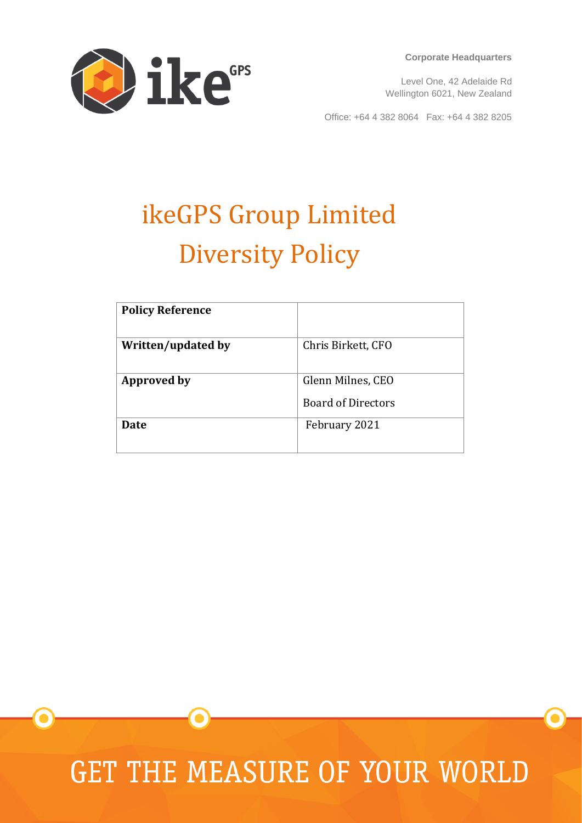

**Corporate Headquarters**

Level One, 42 Adelaide Rd Wellington 6021, New Zealand

Office: +64 4 382 8064 Fax: +64 4 382 8205

# ikeGPS Group Limited Diversity Policy

| <b>Policy Reference</b> |                           |
|-------------------------|---------------------------|
| Written/updated by      | Chris Birkett, CFO        |
| Approved by             | Glenn Milnes, CEO         |
|                         | <b>Board of Directors</b> |
| Date                    | February 2021             |
|                         |                           |

**GET THE MEASURE OF YOUR WORLD**